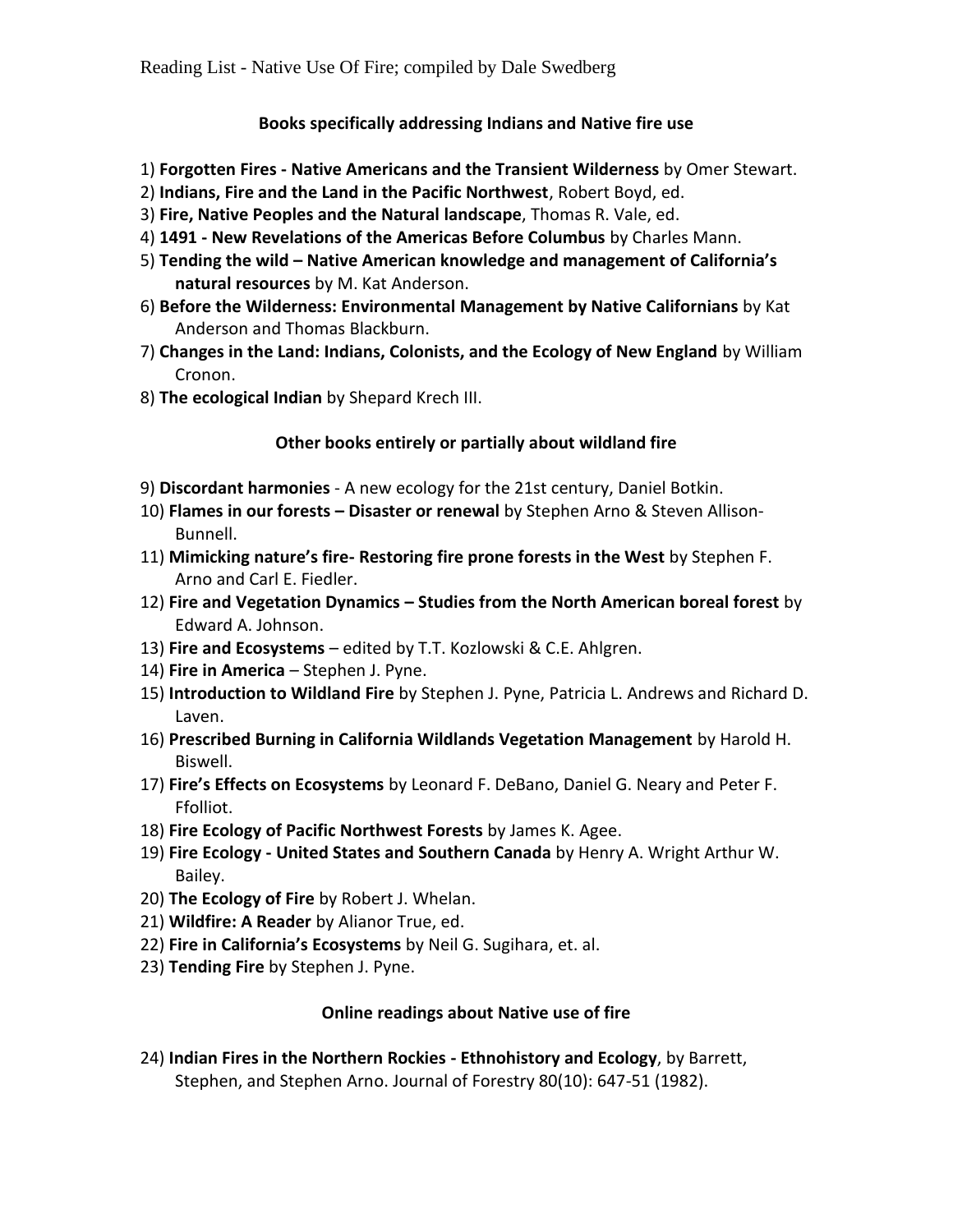## **Books specifically addressing Indians and Native fire use**

- 1) **Forgotten Fires - Native Americans and the Transient Wilderness** by Omer Stewart.
- 2) **Indians, Fire and the Land in the Pacific Northwest**, Robert Boyd, ed.
- 3) **Fire, Native Peoples and the Natural landscape**, Thomas R. Vale, ed.
- 4) **1491 - New Revelations of the Americas Before Columbus** by Charles Mann.
- 5) **Tending the wild – Native American knowledge and management of California's natural resources** by M. Kat Anderson.
- 6) **Before the Wilderness: Environmental Management by Native Californians** by Kat Anderson and Thomas Blackburn.
- 7) **Changes in the Land: Indians, Colonists, and the Ecology of New England** by William Cronon.
- 8) **The ecological Indian** by Shepard Krech III.

## **Other books entirely or partially about wildland fire**

- 9) **Discordant harmonies** A new ecology for the 21st century, Daniel Botkin.
- 10) **Flames in our forests – Disaster or renewal** by Stephen Arno & Steven Allison-Bunnell.
- 11) **Mimicking nature's fire- Restoring fire prone forests in the West** by Stephen F. Arno and Carl E. Fiedler.
- 12) **Fire and Vegetation Dynamics – Studies from the North American boreal forest** by Edward A. Johnson.
- 13) **Fire and Ecosystems** edited by T.T. Kozlowski & C.E. Ahlgren.
- 14) **Fire in America** Stephen J. Pyne.
- 15) **Introduction to Wildland Fire** by Stephen J. Pyne, Patricia L. Andrews and Richard D. Laven.
- 16) **Prescribed Burning in California Wildlands Vegetation Management** by Harold H. Biswell.
- 17) **Fire's Effects on Ecosystems** by Leonard F. DeBano, Daniel G. Neary and Peter F. Ffolliot.
- 18) **Fire Ecology of Pacific Northwest Forests** by James K. Agee.
- 19) **Fire Ecology - United States and Southern Canada** by Henry A. Wright Arthur W. Bailey.
- 20) **The Ecology of Fire** by Robert J. Whelan.
- 21) **Wildfire: A Reader** by Alianor True, ed.
- 22) **Fire in California's Ecosystems** by Neil G. Sugihara, et. al.
- 23) **Tending Fire** by Stephen J. Pyne.

## **Online readings about Native use of fire**

24) **Indian Fires in the Northern Rockies - Ethnohistory and Ecology**, by Barrett, Stephen, and Stephen Arno. Journal of Forestry 80(10): 647-51 (1982).